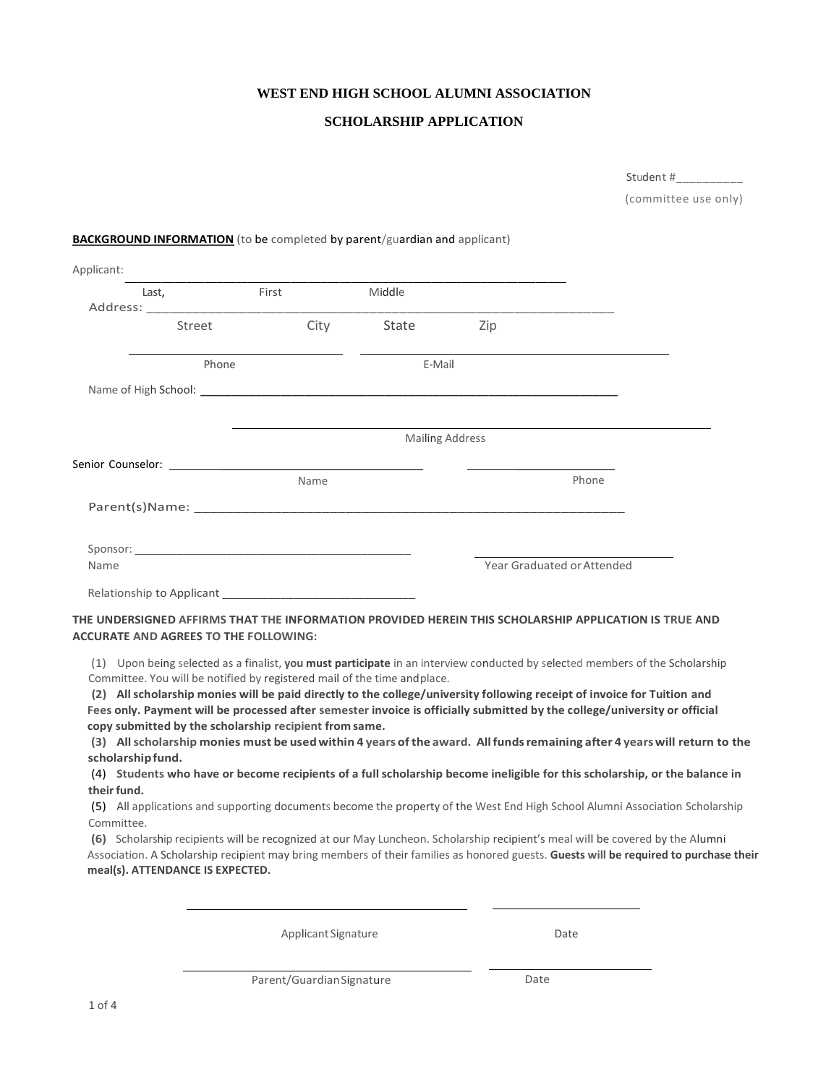## **WEST END HIGH SCHOOL ALUMNI ASSOCIATION**

## **SCHOLARSHIP APPLICATION**

|                                                                                                                                                                                                                                |       |        |                        |     | Student #__________                                                                                                                   |
|--------------------------------------------------------------------------------------------------------------------------------------------------------------------------------------------------------------------------------|-------|--------|------------------------|-----|---------------------------------------------------------------------------------------------------------------------------------------|
|                                                                                                                                                                                                                                |       |        |                        |     | (committee use only)                                                                                                                  |
| <b>BACKGROUND INFORMATION</b> (to be completed by parent/guardian and applicant)                                                                                                                                               |       |        |                        |     |                                                                                                                                       |
| Applicant:                                                                                                                                                                                                                     |       |        |                        |     |                                                                                                                                       |
| Last,                                                                                                                                                                                                                          | First |        | Middle                 |     |                                                                                                                                       |
| Street                                                                                                                                                                                                                         |       |        | City State             | Zip |                                                                                                                                       |
| Phone                                                                                                                                                                                                                          |       | E-Mail |                        |     |                                                                                                                                       |
|                                                                                                                                                                                                                                |       |        |                        |     |                                                                                                                                       |
|                                                                                                                                                                                                                                |       |        | <b>Mailing Address</b> |     |                                                                                                                                       |
|                                                                                                                                                                                                                                |       |        |                        |     |                                                                                                                                       |
|                                                                                                                                                                                                                                |       | Name   |                        |     | Phone                                                                                                                                 |
|                                                                                                                                                                                                                                |       |        |                        |     |                                                                                                                                       |
| Sponsor: the contract of the contract of the contract of the contract of the contract of the contract of the contract of the contract of the contract of the contract of the contract of the contract of the contract of the c |       |        |                        |     |                                                                                                                                       |
| Name                                                                                                                                                                                                                           |       |        |                        |     | Year Graduated or Attended                                                                                                            |
| Relationship to Applicant No. 2014 19:30                                                                                                                                                                                       |       |        |                        |     |                                                                                                                                       |
|                                                                                                                                                                                                                                |       |        |                        |     | THE UNDERSIGNED AFFIRMS THAT THE INFORMATION PROVIDED HEREIN THIS SCHOLARSHIP APPLICATION IS TRUE AND                                 |
| <b>ACCURATE AND AGREES TO THE FOLLOWING:</b>                                                                                                                                                                                   |       |        |                        |     |                                                                                                                                       |
| Committee. You will be notified by registered mail of the time and place.                                                                                                                                                      |       |        |                        |     | (1) Upon being selected as a finalist, you must participate in an interview conducted by selected members of the Scholarship          |
|                                                                                                                                                                                                                                |       |        |                        |     | (2) All scholarship monies will be paid directly to the college/university following receipt of invoice for Tuition and               |
|                                                                                                                                                                                                                                |       |        |                        |     | Fees only. Payment will be processed after semester invoice is officially submitted by the college/university or official             |
| copy submitted by the scholarship recipient from same.                                                                                                                                                                         |       |        |                        |     | (3) All scholarship monies must be used within 4 years of the award. All funds remaining after 4 years will return to the             |
| scholarship fund.                                                                                                                                                                                                              |       |        |                        |     |                                                                                                                                       |
|                                                                                                                                                                                                                                |       |        |                        |     | (4) Students who have or become recipients of a full scholarship become ineligible for this scholarship, or the balance in            |
| their fund.                                                                                                                                                                                                                    |       |        |                        |     | (5) All applications and supporting documents become the property of the West End High School Alumni Association Scholarship          |
| Committee.                                                                                                                                                                                                                     |       |        |                        |     | (6) Scholarship recipients will be recognized at our May Luncheon. Scholarship recipient's meal will be covered by the Alumni         |
| meal(s). ATTENDANCE IS EXPECTED.                                                                                                                                                                                               |       |        |                        |     | Association. A Scholarship recipient may bring members of their families as honored guests. Guests will be required to purchase their |
|                                                                                                                                                                                                                                |       |        |                        |     |                                                                                                                                       |

Applicant Signature Date

Parent/Guardian Signature Date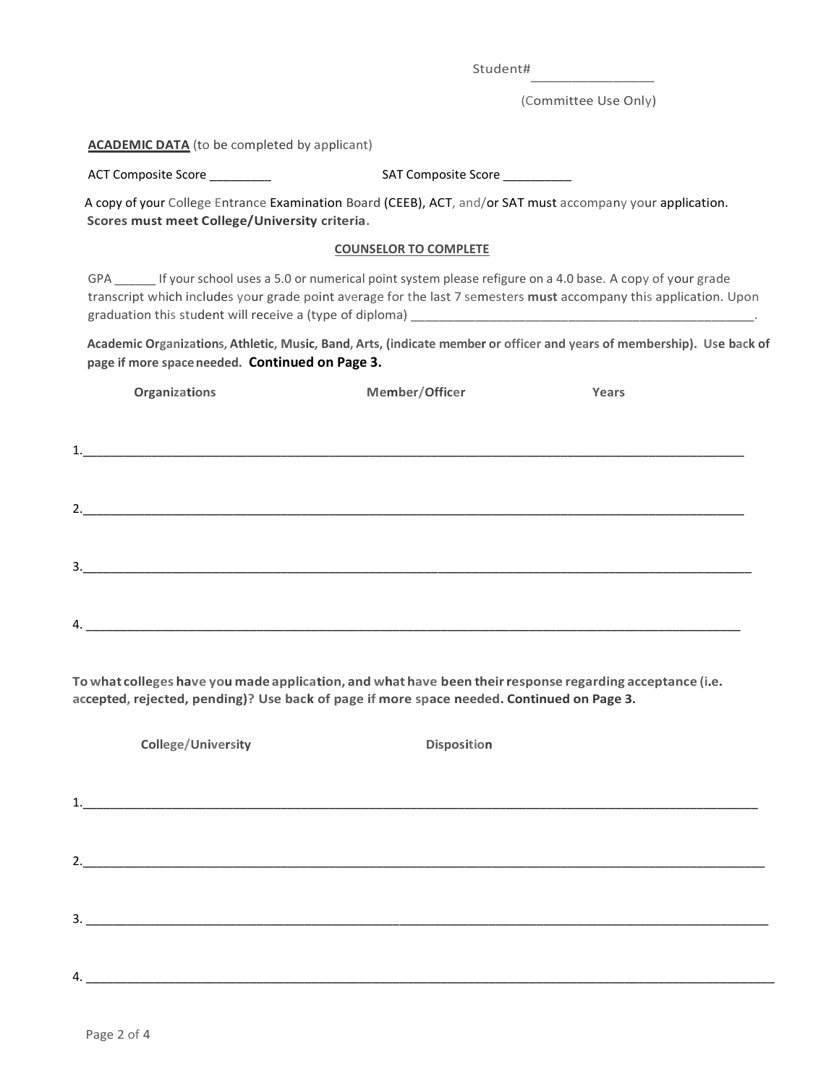Student#

(Committee Use Only)

| <b>ACADEMIC DATA</b> (to be completed by applicant) |                                                                                                                                                                                                       |                                                                                                                        |  |  |  |  |
|-----------------------------------------------------|-------------------------------------------------------------------------------------------------------------------------------------------------------------------------------------------------------|------------------------------------------------------------------------------------------------------------------------|--|--|--|--|
| ACT Composite Score _________                       | SAT Composite Score ___________                                                                                                                                                                       |                                                                                                                        |  |  |  |  |
| Scores must meet College/University criteria.       | A copy of your College Entrance Examination Board (CEEB), ACT, and/or SAT must accompany your application.                                                                                            |                                                                                                                        |  |  |  |  |
|                                                     | <b>COUNSELOR TO COMPLETE</b>                                                                                                                                                                          |                                                                                                                        |  |  |  |  |
|                                                     | GPA _______ If your school uses a 5.0 or numerical point system please refigure on a 4.0 base. A copy of your grade                                                                                   | transcript which includes your grade point average for the last 7 semesters must accompany this application. Upon      |  |  |  |  |
| page if more space needed. Continued on Page 3.     |                                                                                                                                                                                                       | Academic Organizations, Athletic, Music, Band, Arts, (indicate member or officer and years of membership). Use back of |  |  |  |  |
| Organizations                                       | Member/Officer                                                                                                                                                                                        | Years                                                                                                                  |  |  |  |  |
|                                                     |                                                                                                                                                                                                       |                                                                                                                        |  |  |  |  |
|                                                     |                                                                                                                                                                                                       |                                                                                                                        |  |  |  |  |
|                                                     |                                                                                                                                                                                                       |                                                                                                                        |  |  |  |  |
|                                                     |                                                                                                                                                                                                       |                                                                                                                        |  |  |  |  |
|                                                     |                                                                                                                                                                                                       |                                                                                                                        |  |  |  |  |
|                                                     |                                                                                                                                                                                                       |                                                                                                                        |  |  |  |  |
|                                                     |                                                                                                                                                                                                       |                                                                                                                        |  |  |  |  |
|                                                     |                                                                                                                                                                                                       |                                                                                                                        |  |  |  |  |
|                                                     | To what colleges have you made application, and what have been their response regarding acceptance (i.e.<br>accepted, rejected, pending)? Use back of page if more space needed. Continued on Page 3. |                                                                                                                        |  |  |  |  |
| <b>College/University</b>                           | <b>Disposition</b>                                                                                                                                                                                    |                                                                                                                        |  |  |  |  |
|                                                     |                                                                                                                                                                                                       |                                                                                                                        |  |  |  |  |
|                                                     |                                                                                                                                                                                                       |                                                                                                                        |  |  |  |  |
| 2.                                                  |                                                                                                                                                                                                       |                                                                                                                        |  |  |  |  |
|                                                     |                                                                                                                                                                                                       |                                                                                                                        |  |  |  |  |
|                                                     |                                                                                                                                                                                                       |                                                                                                                        |  |  |  |  |
|                                                     |                                                                                                                                                                                                       |                                                                                                                        |  |  |  |  |

4. \_\_\_\_\_\_\_\_\_\_\_\_\_\_\_\_\_\_\_\_\_\_\_\_\_\_\_\_\_\_\_\_\_\_\_\_\_\_\_\_\_\_\_\_\_\_\_\_\_\_\_\_\_\_\_\_\_\_\_\_\_\_\_\_\_\_\_\_\_\_\_\_\_\_\_\_\_\_\_\_\_\_\_\_\_\_\_\_\_\_\_\_\_\_\_\_\_\_\_\_\_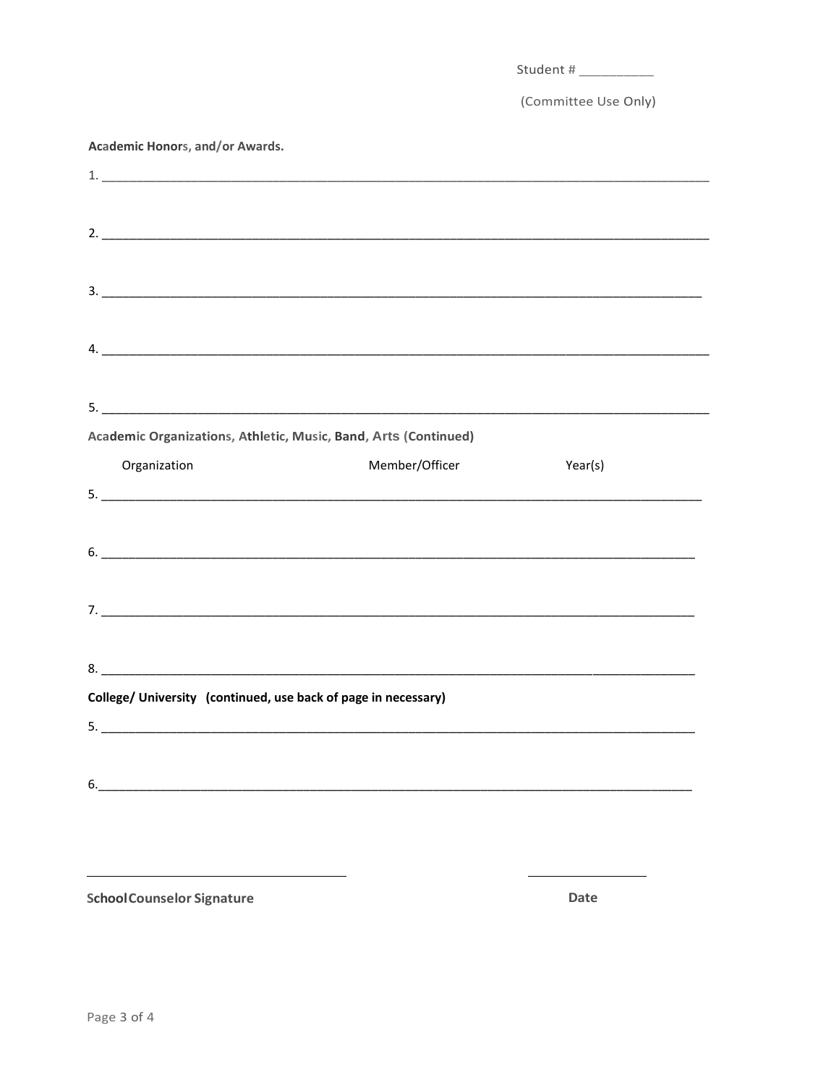| Academic Honors, and/or Awards.<br>Member/Officer<br>Organization | (Committee Use Only) |
|-------------------------------------------------------------------|----------------------|
|                                                                   |                      |
|                                                                   |                      |
|                                                                   |                      |
|                                                                   |                      |
|                                                                   |                      |
|                                                                   |                      |
|                                                                   |                      |
|                                                                   |                      |
|                                                                   |                      |
|                                                                   |                      |
| Academic Organizations, Athletic, Music, Band, Arts (Continued)   |                      |
|                                                                   |                      |
|                                                                   |                      |
|                                                                   | Year(s)              |
|                                                                   |                      |
|                                                                   |                      |
|                                                                   |                      |
|                                                                   |                      |
|                                                                   |                      |
|                                                                   |                      |
|                                                                   |                      |
|                                                                   |                      |
| College/ University (continued, use back of page in necessary)    |                      |
|                                                                   |                      |
|                                                                   |                      |
|                                                                   |                      |

**SchoolCounselor Signature** 

Date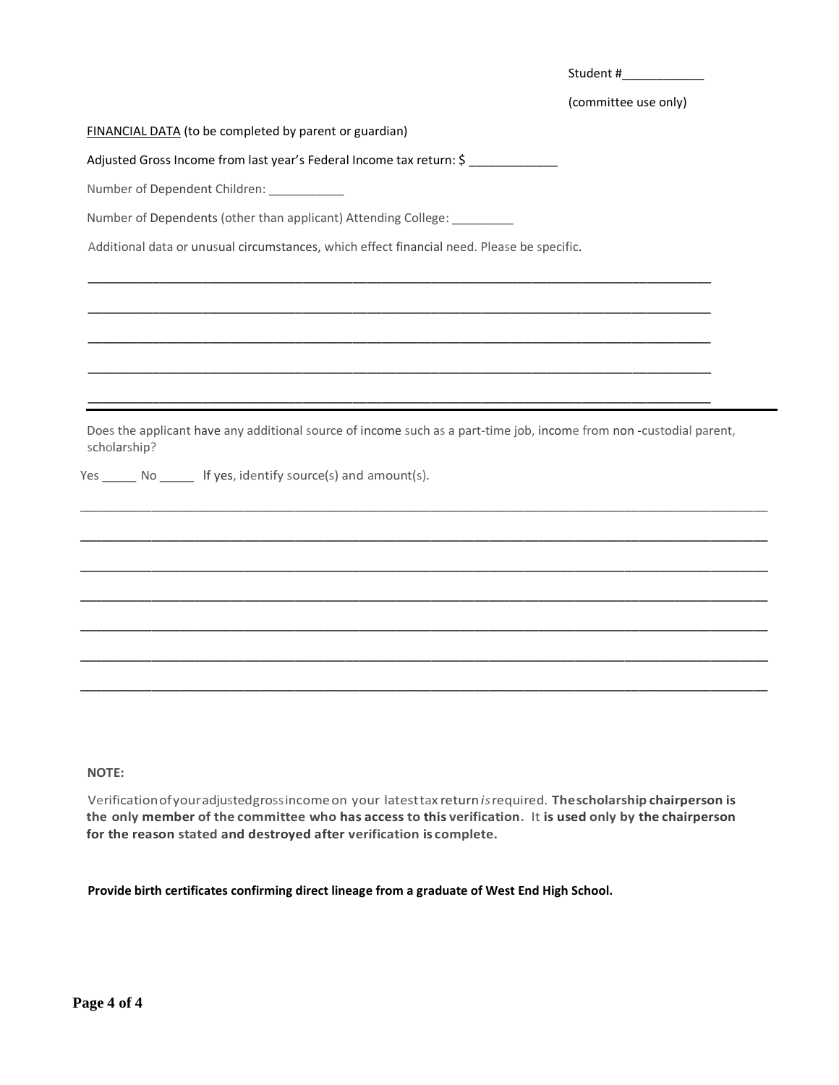|                                                                                                                                    | Student#             |
|------------------------------------------------------------------------------------------------------------------------------------|----------------------|
|                                                                                                                                    | (committee use only) |
| FINANCIAL DATA (to be completed by parent or guardian)                                                                             |                      |
| Adjusted Gross Income from last year's Federal Income tax return: \$                                                               |                      |
| Number of Dependent Children: ___________                                                                                          |                      |
| Number of Dependents (other than applicant) Attending College: _________                                                           |                      |
| Additional data or unusual circumstances, which effect financial need. Please be specific.                                         |                      |
|                                                                                                                                    |                      |
|                                                                                                                                    |                      |
|                                                                                                                                    |                      |
|                                                                                                                                    |                      |
| Does the applicant have any additional source of income such as a part-time job, income from non-custodial parent,<br>scholarship? |                      |
| Yes ______ No ______ If yes, identify source(s) and amount(s).                                                                     |                      |
|                                                                                                                                    |                      |
|                                                                                                                                    |                      |
|                                                                                                                                    |                      |
|                                                                                                                                    |                      |
|                                                                                                                                    |                      |
|                                                                                                                                    |                      |
|                                                                                                                                    |                      |
|                                                                                                                                    |                      |

## **NOTE:**

Verificationofyouradjustedgrossincomeon your latesttax return*is*required. **Thescholarship chairperson is the only member of the committee who has access to this verification.** It **is used only by the chairperson for the reason stated and destroyed after verification is complete.**

**Provide birth certificates confirming direct lineage from a graduate of West End High School.**